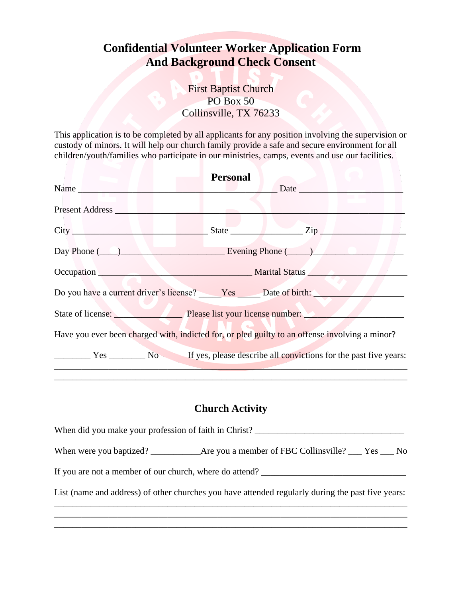## **Confidential Volunteer Worker Application Form And Background Check Consent**

First Baptist Church PO Box 50 Collinsville, TX 76233

This application is to be completed by all applicants for any position involving the supervision or custody of minors. It will help our church family provide a safe and secure environment for all children/youth/families who participate in our ministries, camps, events and use our facilities.

|                                                                                                                                                                                                                               | <b>Personal</b> |                    |
|-------------------------------------------------------------------------------------------------------------------------------------------------------------------------------------------------------------------------------|-----------------|--------------------|
| Name Name and the state of the state of the state of the state of the state of the state of the state of the state of the state of the state of the state of the state of the state of the state of the state of the state of |                 | $\Box$ Date $\Box$ |
| Present Address                                                                                                                                                                                                               |                 |                    |
|                                                                                                                                                                                                                               |                 | State Zip          |
| Day Phone (Company 2014) Evening Phone (Company 2014)                                                                                                                                                                         |                 |                    |
| Occupation Marital Status Marital Status                                                                                                                                                                                      |                 |                    |
| Do you have a current driver's license? Yes Date of birth:                                                                                                                                                                    |                 |                    |
| State of license: Please list your license number:                                                                                                                                                                            |                 |                    |
| Have you ever been charged with, indicted for, or pled guilty to an offense involving a minor?                                                                                                                                |                 |                    |
| The Yes The No State of the past five years: No State of the past five years:                                                                                                                                                 |                 |                    |

## **Church Activity**

\_\_\_\_\_\_\_\_\_\_\_\_\_\_\_\_\_\_\_\_\_\_\_\_\_\_\_\_\_\_\_\_\_\_\_\_\_\_\_\_\_\_\_\_\_\_\_\_\_\_\_\_\_\_\_\_\_\_\_\_\_\_\_\_\_\_\_\_\_\_\_\_\_\_\_\_\_\_

| When did you make your profession of faith in Christ?                                             |  |
|---------------------------------------------------------------------------------------------------|--|
|                                                                                                   |  |
| If you are not a member of our church, where do attend?                                           |  |
| List (name and address) of other churches you have attended regularly during the past five years: |  |
|                                                                                                   |  |